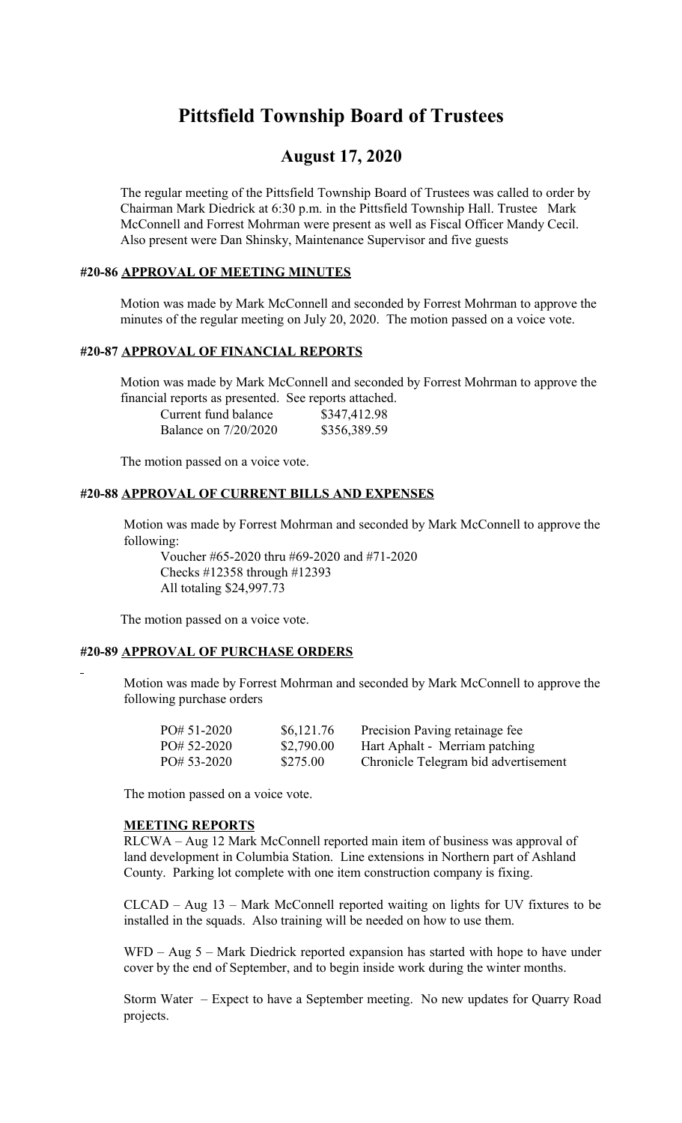# **Pittsfield Township Board of Trustees**

## **August 17, 2020**

The regular meeting of the Pittsfield Township Board of Trustees was called to order by Chairman Mark Diedrick at 6:30 p.m. in the Pittsfield Township Hall. Trustee Mark McConnell and Forrest Mohrman were present as well as Fiscal Officer Mandy Cecil. Also present were Dan Shinsky, Maintenance Supervisor and five guests

## **#20-86 APPROVAL OF MEETING MINUTES**

Motion was made by Mark McConnell and seconded by Forrest Mohrman to approve the minutes of the regular meeting on July 20, 2020. The motion passed on a voice vote.

## **#20-87 APPROVAL OF FINANCIAL REPORTS**

Motion was made by Mark McConnell and seconded by Forrest Mohrman to approve the financial reports as presented. See reports attached.

| Current fund balance        | \$347,412.98 |
|-----------------------------|--------------|
| <b>Balance on 7/20/2020</b> | \$356,389.59 |

The motion passed on a voice vote.

## **#20-88 APPROVAL OF CURRENT BILLS AND EXPENSES**

Motion was made by Forrest Mohrman and seconded by Mark McConnell to approve the following:

Voucher #65-2020 thru #69-2020 and #71-2020 Checks #12358 through #12393 All totaling \$24,997.73

The motion passed on a voice vote.

#### **#20-89 APPROVAL OF PURCHASE ORDERS**

Motion was made by Forrest Mohrman and seconded by Mark McConnell to approve the following purchase orders

| $PO# 51-2020$ | \$6,121.76 | Precision Paving retainage fee       |
|---------------|------------|--------------------------------------|
| $PO# 52-2020$ | \$2,790.00 | Hart Aphalt - Merriam patching       |
| $PO# 53-2020$ | \$275.00   | Chronicle Telegram bid advertisement |

The motion passed on a voice vote.

#### **MEETING REPORTS**

RLCWA – Aug 12 Mark McConnell reported main item of business was approval of land development in Columbia Station. Line extensions in Northern part of Ashland County. Parking lot complete with one item construction company is fixing.

CLCAD – Aug 13 – Mark McConnell reported waiting on lights for UV fixtures to be installed in the squads. Also training will be needed on how to use them.

WFD – Aug 5 – Mark Diedrick reported expansion has started with hope to have under cover by the end of September, and to begin inside work during the winter months.

Storm Water – Expect to have a September meeting. No new updates for Quarry Road projects.